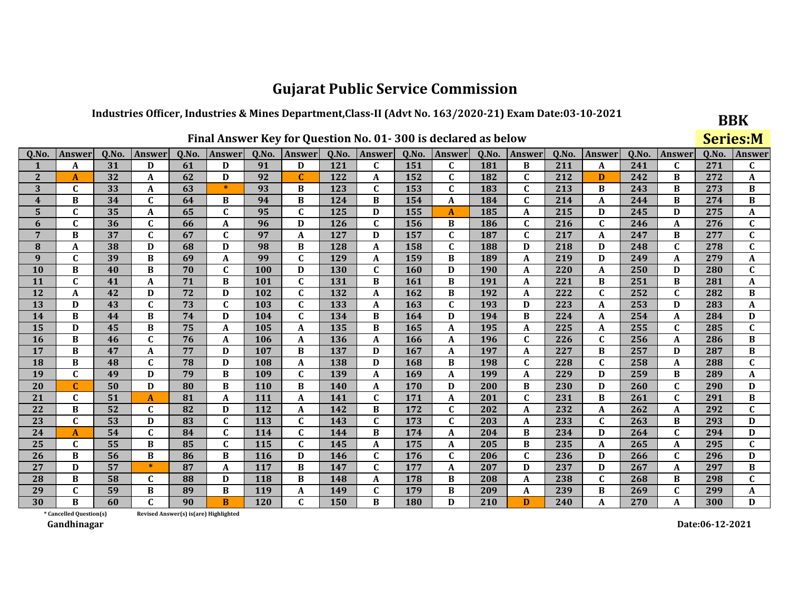### Industries Officer, Industries & Mines Department, Class-II (Advt No. 163/2020-21) Exam Date:03-10-2021

|                         |                                                                                                                                                                    |    |              |                                        |              |     |                  |            |              |            | Final Answer Key for Question No. 01-300 is declared as below |     |              |     |              |        |              | <b>Series:M</b> |              |
|-------------------------|--------------------------------------------------------------------------------------------------------------------------------------------------------------------|----|--------------|----------------------------------------|--------------|-----|------------------|------------|--------------|------------|---------------------------------------------------------------|-----|--------------|-----|--------------|--------|--------------|-----------------|--------------|
| Q.No.                   | Q.No.<br>Q.No.<br>Q.No.<br>Answer<br>Answer<br>Q.No.<br>Answer<br>Q.No.<br><b>Answer</b><br>Q.No.<br>Answer<br>Q.No.<br>Answer<br>Q.No.<br><b>Answer</b><br>Answer |    |              |                                        |              |     |                  |            |              |            |                                                               |     |              |     |              | Answer | Q.No.        | Answer          |              |
| 1                       | A                                                                                                                                                                  | 31 | D            | 61                                     | D            | 91  | D                | 121        | $\mathbf{C}$ | 151        | $\mathbf{C}$                                                  | 181 | B            | 211 | A            | 241    | $\mathbf{C}$ | 271             | $\mathbf{C}$ |
| $\overline{2}$          | A                                                                                                                                                                  | 32 | A            | 62                                     | D            | 92  | $\mathbf C$      | 122        | A            | 152        | $\mathbf{C}$                                                  | 182 | $\mathbf C$  | 212 | D            | 242    | B            | 272             | A            |
| 3                       | $\mathbf C$                                                                                                                                                        | 33 | A            | 63                                     | $\ast$       | 93  | B                | 123        | $\mathbf C$  | 153        | $\mathbf C$                                                   | 183 | $\mathbf C$  | 213 | B            | 243    | B            | 273             | B            |
| $\overline{\mathbf{4}}$ | B                                                                                                                                                                  | 34 | $\mathbf{C}$ | 64                                     | B            | 94  | B                | 124        | B            | 154        | A                                                             | 184 | $\mathbf{C}$ | 214 | A            | 244    | B            | 274             | B            |
| 5                       | $\mathbf C$                                                                                                                                                        | 35 | A            | 65                                     | $\mathbf{C}$ | 95  | $\mathbf C$      | 125        | D            | 155        | $\mathbf{A}$                                                  | 185 | A            | 215 | D            | 245    | D            | 275             | A            |
| 6                       | $\mathbf C$                                                                                                                                                        | 36 | $\mathbf C$  | 66                                     | A            | 96  | D                | 126        | $\mathbf{C}$ | 156        | B                                                             | 186 | C            | 216 | $\mathbf{C}$ | 246    | A            | 276             | $\mathbf C$  |
| 7                       | B                                                                                                                                                                  | 37 | $\mathbf C$  | 67                                     | $\mathbf C$  | 97  | A                | 127        | D            | 157        | $\mathbf C$                                                   | 187 | $\mathbf C$  | 217 | A            | 247    | B            | 277             | $\mathbf{C}$ |
| 8                       | A                                                                                                                                                                  | 38 | D            | 68                                     | D            | 98  | B                | 128        | A            | 158        | $\mathbf{C}$                                                  | 188 | D            | 218 | D            | 248    | C            | 278             | $\mathbf C$  |
| 9                       | $\mathbf{C}$                                                                                                                                                       | 39 | B            | 69                                     | A            | 99  | $\mathbf C$      | 129        | A            | 159        | B                                                             | 189 | A            | 219 | D            | 249    | A            | 279             | A            |
| 10                      | B                                                                                                                                                                  | 40 | B            | 70                                     | $\mathbf{C}$ | 100 | D                | <b>130</b> | $\mathbf C$  | 160        | D                                                             | 190 | A            | 220 | A            | 250    | D            | 280             | $\mathbf{C}$ |
| 11                      | $\mathbf{C}$                                                                                                                                                       | 41 | A            | 71                                     | B            | 101 | $\mathbf C$      | 131        | B            | 161        | B                                                             | 191 | A            | 221 | B            | 251    | B            | 281             | A            |
| 12                      | A                                                                                                                                                                  | 42 | D            | 72                                     | D            | 102 | $\mathbf C$      | 132        | A            | 162        | B                                                             | 192 | A            | 222 | $\mathbf{C}$ | 252    | C            | 282             | В            |
| 13                      | D                                                                                                                                                                  | 43 | $\mathbf{C}$ | 73                                     | $\mathbf C$  | 103 | $\mathbf{C}$     | 133        | A            | 163        | $\mathbf{C}$                                                  | 193 | D            | 223 | A            | 253    | D            | 283             | A            |
| 14                      | B                                                                                                                                                                  | 44 | B            | 74                                     | D            | 104 | $\mathbf C$      | 134        | B            | 164        | D                                                             | 194 | B            | 224 | A            | 254    | A            | 284             | D            |
| 15                      | D                                                                                                                                                                  | 45 | B            | 75                                     | A            | 105 | $\boldsymbol{A}$ | 135        | B            | 165        | A                                                             | 195 | A            | 225 | A            | 255    | $\mathbf C$  | 285             | $\mathbf{C}$ |
| 16                      | B                                                                                                                                                                  | 46 | $\mathbf{C}$ | 76                                     | A            | 106 | A                | 136        | A            | 166        | A                                                             | 196 | $\mathbf{C}$ | 226 | C            | 256    | A            | 286             | B            |
| 17                      | B                                                                                                                                                                  | 47 | A            | 77                                     | D            | 107 | B                | 137        | D            | 167        | A                                                             | 197 | A            | 227 | B            | 257    | D            | 287             | B            |
| 18                      | B                                                                                                                                                                  | 48 | $\mathbf{C}$ | 78                                     | D            | 108 | A                | 138        | D            | 168        | B                                                             | 198 | $\mathbf{C}$ | 228 | $\mathbf{C}$ | 258    | A            | 288             | $\mathbf{C}$ |
| 19                      | $\mathbf{C}$                                                                                                                                                       | 49 | D            | 79                                     | B            | 109 | $\mathbf C$      | 139        | A            | 169        | A                                                             | 199 | A            | 229 | D            | 259    | B            | 289             | A            |
| 20                      |                                                                                                                                                                    | 50 | D            | 80                                     | B            | 110 | B                | <b>140</b> | A            | 170        | D                                                             | 200 | B            | 230 | D            | 260    | $\mathbf C$  | 290             | D            |
| 21                      | C                                                                                                                                                                  | 51 | $\mathbf{A}$ | 81                                     | A            | 111 | $\boldsymbol{A}$ | 141        | $\mathbf C$  | 171        | A                                                             | 201 | $\mathbf{C}$ | 231 | B            | 261    | $\mathbf{C}$ | 291             | $\, {\bf B}$ |
| 22                      | B                                                                                                                                                                  | 52 | $\mathbf{C}$ | 82                                     | D            | 112 | A                | 142        | B            | 172        | $\mathbf C$                                                   | 202 | A            | 232 | A            | 262    | A            | 292             | $\mathbf{C}$ |
| 23                      | $\mathbf{C}$                                                                                                                                                       | 53 | D            | 83                                     | $\mathbf{C}$ | 113 | $\mathbf C$      | 143        | $\mathbf C$  | 173        | $\mathbf{C}$                                                  | 203 | A            | 233 | $\mathbf{C}$ | 263    | B            | 293             | D            |
| 24                      | A                                                                                                                                                                  | 54 | $\mathbf{C}$ | 84                                     | C            | 114 | $\mathbf C$      | 144        | B            | 174        | A                                                             | 204 | B            | 234 | D            | 264    | $\mathbf C$  | 294             | D            |
| 25                      | $\mathbf{C}$                                                                                                                                                       | 55 | B            | 85                                     | $\mathbf C$  | 115 | $\mathbf{C}$     | 145        | A            | 175        | A                                                             | 205 | $\, {\bf B}$ | 235 | A            | 265    | A            | 295             | $\mathbf{C}$ |
| 26                      | B                                                                                                                                                                  | 56 | B            | 86                                     | B            | 116 | D                | 146        | $\mathbf C$  | 176        | $\mathbf C$                                                   | 206 | $\mathbf C$  | 236 | D            | 266    | $\mathbf{C}$ | 296             | D            |
| 27                      | D                                                                                                                                                                  | 57 | $\ast$       | 87                                     | $\mathbf{A}$ | 117 | B                | 147        | $\mathbf{C}$ | 177        | A                                                             | 207 | D            | 237 | D            | 267    | A            | 297             | B            |
| 28                      | B                                                                                                                                                                  | 58 | $\mathbf C$  | 88                                     | D            | 118 | B                | 148        | A            | 178        | B                                                             | 208 | A            | 238 | $\mathbf{C}$ | 268    | В            | 298             | $\mathbf{C}$ |
| 29                      | $\mathbf C$                                                                                                                                                        | 59 | B            | 89                                     | B            | 119 | $\mathbf A$      | 149        | $\mathbf C$  | 179        | B                                                             | 209 | A            | 239 | B            | 269    | $\mathbf{C}$ | 299             | A            |
| 30                      | R                                                                                                                                                                  | 60 | $\mathbf{C}$ | 90                                     | B            | 120 | $\mathbf C$      | 150        | B            | <b>180</b> | D                                                             | 210 | D            | 240 | A            | 270    | A            | 300             | D            |
|                         | * Cancelled Question(s)                                                                                                                                            |    |              | Revised Answer(s) is (are) Highlighted |              |     |                  |            |              |            |                                                               |     |              |     |              |        |              |                 |              |

Gandhinagar

Date:06-12-2021

**BBK**  $C_{\text{c}}$  and  $\mathbf{M}$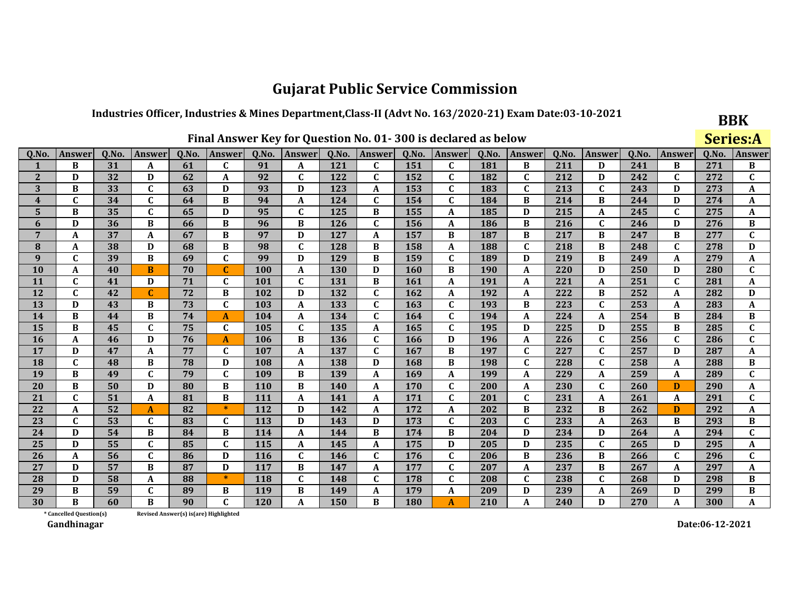## Industries Officer, Industries & Mines Department, Class-II (Advt No. 163/2020-21) Exam Date:03-10-2021

|                         |                                                                                                                                                      |    |              |    |                                       |            |              |            |   |     | Final Answer Key for Question No. 01-300 is declared as below |     |              |     |             |        |             |        | <b>Series:A</b> |
|-------------------------|------------------------------------------------------------------------------------------------------------------------------------------------------|----|--------------|----|---------------------------------------|------------|--------------|------------|---|-----|---------------------------------------------------------------|-----|--------------|-----|-------------|--------|-------------|--------|-----------------|
| Q.No                    | Q.No.<br>Q.No.<br>Q.No.<br>Q.No.<br>Q.No.<br>Q.No.<br>Q.No.<br>Q.No.<br>Answer<br>Answer<br>Answer<br>Answer<br>Answer<br>Answer<br>Answer<br>Answer |    |              |    |                                       |            |              |            |   |     |                                                               |     |              |     |             | Answer | Q.No.       | Answer |                 |
| 1                       | B                                                                                                                                                    | 31 | A            | 61 | C                                     | 91         | A            | 121        | C | 151 | $\mathbf{C}$                                                  | 181 | B            | 211 | D           | 241    | B           | 271    | B               |
| $\overline{2}$          | D                                                                                                                                                    | 32 | D            | 62 | A                                     | 92         | $\mathbf C$  | 122        | C | 152 | $\mathbf C$                                                   | 182 | $\mathbf C$  | 212 | D           | 242    | $\mathbf C$ | 272    | $\mathbf C$     |
| 3                       | B                                                                                                                                                    | 33 | $\mathbf{C}$ | 63 | D                                     | 93         | D            | 123        | A | 153 | $\mathbf{C}$                                                  | 183 | $\mathbf{C}$ | 213 | $\mathbf C$ | 243    | D           | 273    | A               |
| $\overline{\mathbf{4}}$ | $\mathbf C$                                                                                                                                          | 34 | $\mathbf{C}$ | 64 | B                                     | 94         | A            | 124        | C | 154 | $\mathbf{C}$                                                  | 184 | B            | 214 | B           | 244    | D           | 274    | A               |
| 5                       | B                                                                                                                                                    | 35 | $\mathbf C$  | 65 | D                                     | 95         | $\mathbf C$  | 125        | В | 155 | A                                                             | 185 | D            | 215 | A           | 245    | $\mathbf C$ | 275    | A               |
| 6                       | D                                                                                                                                                    | 36 | B            | 66 | B                                     | 96         | B            | 126        | C | 156 | A                                                             | 186 | B            | 216 | $\mathbf C$ | 246    | D           | 276    | B               |
| 7                       | A                                                                                                                                                    | 37 | A            | 67 | B                                     | 97         | D            | 127        | A | 157 | B                                                             | 187 | B            | 217 | B           | 247    | B           | 277    | $\mathbf C$     |
| 8                       | A                                                                                                                                                    | 38 | D            | 68 | B                                     | 98         | $\mathbf C$  | 128        | B | 158 | A                                                             | 188 | $\mathbf{C}$ | 218 | B           | 248    | $\mathbf C$ | 278    | D               |
| 9                       | $\mathbf C$                                                                                                                                          | 39 | B            | 69 | $\mathbf{C}$                          | 99         | D            | 129        | B | 159 | $\mathbf{C}$                                                  | 189 | D            | 219 | $\bf{B}$    | 249    | A           | 279    | A               |
| 10                      | A                                                                                                                                                    | 40 | B            | 70 | C                                     | 100        | A            | <b>130</b> | D | 160 | B                                                             | 190 | A            | 220 | D           | 250    | D           | 280    | $\mathbf{C}$    |
| 11                      | C                                                                                                                                                    | 41 | D            | 71 | C                                     | 101        | $\mathbf C$  | 131        | B | 161 | A                                                             | 191 | A            | 221 | A           | 251    | $\mathbf C$ | 281    | A               |
| 12                      | $\mathbf C$                                                                                                                                          | 42 | C            | 72 | B                                     | 102        | D            | 132        | C | 162 | A                                                             | 192 | A            | 222 | B           | 252    | A           | 282    | D               |
| 13                      | D                                                                                                                                                    | 43 | B            | 73 | $\mathbf C$                           | 103        | $\mathbf A$  | 133        | C | 163 | $\mathbf C$                                                   | 193 | B            | 223 | $\mathbf C$ | 253    | A           | 283    | A               |
| 14                      | B                                                                                                                                                    | 44 | B            | 74 | A                                     | 104        | A            | 134        | C | 164 | $\mathbf{C}$                                                  | 194 | A            | 224 | A           | 254    | B           | 284    | B               |
| 15                      | B                                                                                                                                                    | 45 | $\mathbf{C}$ | 75 | $\mathbf C$                           | 105        | $\mathbf C$  | 135        | A | 165 | $\mathbf C$                                                   | 195 | D            | 225 | D           | 255    | B           | 285    | $\mathbf{C}$    |
| 16                      | A                                                                                                                                                    | 46 | D            | 76 | A                                     | 106        | B            | 136        | C | 166 | D                                                             | 196 | A            | 226 | $\mathbf C$ | 256    | $\mathbf C$ | 286    | $\mathbf{C}$    |
| 17                      | D                                                                                                                                                    | 47 | A            | 77 | $\mathbf{C}$                          | 107        | $\mathbf A$  | 137        | C | 167 | B                                                             | 197 | $\mathbf C$  | 227 | $\mathbf C$ | 257    | D           | 287    | A               |
| 18                      | $\mathbf C$                                                                                                                                          | 48 | B            | 78 | D                                     | 108        | $\mathbf A$  | 138        | D | 168 | B                                                             | 198 | $\mathbf C$  | 228 | $\mathbf C$ | 258    | A           | 288    | B               |
| 19                      | B                                                                                                                                                    | 49 | $\mathbf C$  | 79 | $\mathbf C$                           | 109        | B            | 139        | A | 169 | A                                                             | 199 | A            | 229 | A           | 259    | A           | 289    | $\mathbf C$     |
| 20                      | B                                                                                                                                                    | 50 | D            | 80 | B                                     | <b>110</b> | B            | <b>140</b> | A | 170 | $\mathbf C$                                                   | 200 | A            | 230 | $\mathbf C$ | 260    | D           | 290    | A               |
| 21                      | $\mathbf{C}$                                                                                                                                         | 51 | A            | 81 | B                                     | 111        | $\mathbf{A}$ | 141        | A | 171 | $\mathbf C$                                                   | 201 | $\mathbf{C}$ | 231 | A           | 261    | A           | 291    | $\mathbf C$     |
| 22                      | A                                                                                                                                                    | 52 | A            | 82 | $\ast$                                | 112        | D            | 142        | A | 172 | A                                                             | 202 | B            | 232 | B           | 262    | D           | 292    | A               |
| 23                      | $\mathbf C$                                                                                                                                          | 53 | $\mathbf C$  | 83 | $\mathbf C$                           | 113        | D            | 143        | D | 173 | $\mathbf C$                                                   | 203 | $\mathbf C$  | 233 | A           | 263    | B           | 293    | B               |
| 24                      | D                                                                                                                                                    | 54 | B            | 84 | B                                     | 114        | $\mathbf A$  | 144        | B | 174 | B                                                             | 204 | D            | 234 | D           | 264    | A           | 294    | $\mathbf C$     |
| 25                      | D                                                                                                                                                    | 55 | $\mathbf{C}$ | 85 | $\mathbf C$                           | 115        | A            | 145        | A | 175 | D                                                             | 205 | D            | 235 | $\mathbf C$ | 265    | D           | 295    | A               |
| 26                      | A                                                                                                                                                    | 56 | $\mathbf{C}$ | 86 | D                                     | 116        | $\mathbf C$  | 146        | C | 176 | C                                                             | 206 | B            | 236 | B           | 266    | $\mathbf C$ | 296    | $\mathbf{C}$    |
| 27                      | $\mathbf{D}$                                                                                                                                         | 57 | $\bf{B}$     | 87 | D                                     | 117        | B            | 147        | A | 177 | $\mathbf{C}$                                                  | 207 | A            | 237 | B           | 267    | A           | 297    | A               |
| 28                      | D                                                                                                                                                    | 58 | A            | 88 | $\ast$                                | 118        | $\mathbf{C}$ | 148        | C | 178 | $\mathbf C$                                                   | 208 | $\mathbf C$  | 238 | $\mathbf C$ | 268    | D           | 298    | B               |
| 29                      | B                                                                                                                                                    | 59 | $\mathbf{C}$ | 89 | B                                     | 119        | B            | 149        | A | 179 | $\mathbf{A}$                                                  | 209 | D            | 239 | A           | 269    | D           | 299    | B               |
| 30                      | R                                                                                                                                                    | 60 | B            | 90 | $\mathbf{C}$                          | 120        | $\mathbf A$  | 150        | B | 180 | $\mathbf{A}$                                                  | 210 | $\mathbf{A}$ | 240 | D           | 270    | A           | 300    | $\mathbf A$     |
|                         | * Cancelled Question(s)                                                                                                                              |    |              |    | Revised Answer(s) is(are) Highlighted |            |              |            |   |     |                                                               |     |              |     |             |        |             |        |                 |

Revised Answer(s) is(are) Highlighted

Gandhinagar

Date:06-12-2021

**BBK**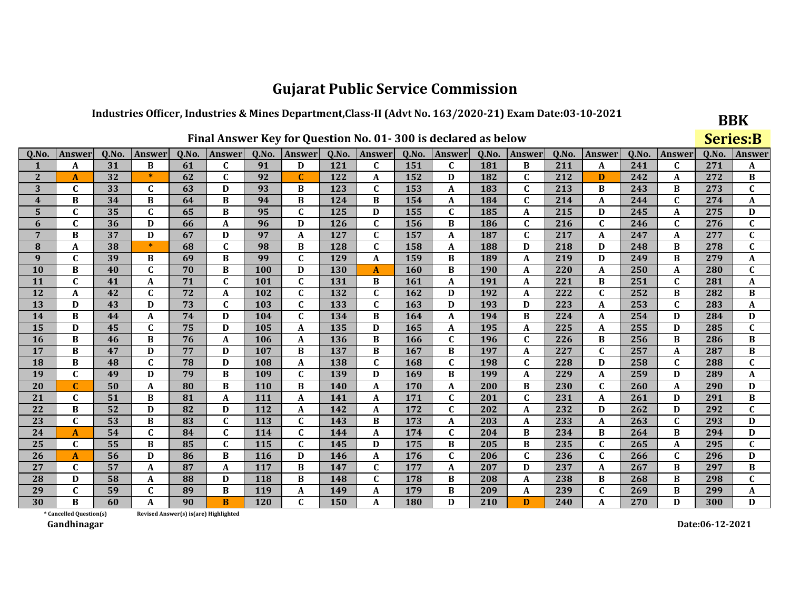### Industries Officer, Industries & Mines Department, Class-II (Advt No. 163/2020-21) Exam Date:03-10-2021

|                         |                                                                                                                                                                    |    |              |                                        |              |     |              |            |              |            | Final Answer Key for Question No. 01-300 is declared as below |     |              |     |                  |        |              | <b>Series:B</b> |              |
|-------------------------|--------------------------------------------------------------------------------------------------------------------------------------------------------------------|----|--------------|----------------------------------------|--------------|-----|--------------|------------|--------------|------------|---------------------------------------------------------------|-----|--------------|-----|------------------|--------|--------------|-----------------|--------------|
| Q.No.                   | Q.No.<br>Q.No.<br>Q.No.<br>Answer<br>Q.No.<br>Answer<br>Q.No.<br><b>Answer</b><br>Q.No.<br>Answer<br>Q.No.<br>Answer<br>Q.No.<br><b>Answer</b><br>Answer<br>Answer |    |              |                                        |              |     |              |            |              |            |                                                               |     |              |     |                  | Answer | Q.No.        | Answer          |              |
| 1                       | A                                                                                                                                                                  | 31 | B            | 61                                     | $\mathbf{C}$ | 91  | D            | 121        | $\mathbf{C}$ | 151        | $\mathbf C$                                                   | 181 | B            | 211 | A                | 241    | $\mathbf{C}$ | 271             | A            |
| $\overline{2}$          | A                                                                                                                                                                  | 32 | $\ast$       | 62                                     | $\mathbf C$  | 92  | $\mathbf C$  | 122        | A            | 152        | D                                                             | 182 | $\mathbf C$  | 212 | D                | 242    | A            | 272             | B            |
| 3                       | $\mathbf C$                                                                                                                                                        | 33 | $\mathbf C$  | 63                                     | D            | 93  | B            | 123        | $\mathbf C$  | 153        | A                                                             | 183 | $\mathbf C$  | 213 | B                | 243    | B            | 273             | $\mathbf C$  |
| $\overline{\mathbf{4}}$ | B                                                                                                                                                                  | 34 | B            | 64                                     | B            | 94  | B            | 124        | B            | 154        | A                                                             | 184 | $\mathbf C$  | 214 | A                | 244    | $\mathbf{C}$ | 274             | A            |
| 5                       | $\mathbf C$                                                                                                                                                        | 35 | $\mathbf C$  | 65                                     | B            | 95  | $\mathbf C$  | 125        | D            | 155        | $\mathbf C$                                                   | 185 | A            | 215 | D                | 245    | A            | 275             | D            |
| 6                       | $\mathbf C$                                                                                                                                                        | 36 | D            | 66                                     | A            | 96  | D            | 126        | $\mathbf{C}$ | 156        | B                                                             | 186 | C            | 216 | $\mathbf{C}$     | 246    | C            | 276             | $\mathbf C$  |
| 7                       | B                                                                                                                                                                  | 37 | D            | 67                                     | D            | 97  | A            | 127        | $\mathbf C$  | 157        | A                                                             | 187 | $\mathbf C$  | 217 | A                | 247    | A            | 277             | $\mathbf{C}$ |
| 8                       | A                                                                                                                                                                  | 38 | $\ast$       | 68                                     | $\mathbf C$  | 98  | B            | 128        | C            | 158        | A                                                             | 188 | D            | 218 | D                | 248    | B            | 278             | $\mathbf C$  |
| 9                       | $\mathbf{C}$                                                                                                                                                       | 39 | B            | 69                                     | B            | 99  | $\mathbf C$  | 129        | A            | 159        | B                                                             | 189 | A            | 219 | D                | 249    | B            | 279             | A            |
| 10                      | B                                                                                                                                                                  | 40 | $\mathbf{C}$ | 70                                     | B            | 100 | D            | <b>130</b> | A            | 160        | B                                                             | 190 | A            | 220 | A                | 250    | A            | 280             | $\mathbf{C}$ |
| 11                      | $\mathbf{C}$                                                                                                                                                       | 41 | A            | 71                                     | $\mathbf C$  | 101 | $\mathbf C$  | 131        | B            | 161        | A                                                             | 191 | A            | 221 | B                | 251    | $\mathbf C$  | 281             | A            |
| 12                      | A                                                                                                                                                                  | 42 | $\mathbf C$  | 72                                     | A            | 102 | $\mathbf C$  | 132        | $\mathbf{C}$ | 162        | D                                                             | 192 | A            | 222 | $\mathbf{C}$     | 252    | B            | 282             | В            |
| 13                      | D                                                                                                                                                                  | 43 | D            | 73                                     | $\mathbf C$  | 103 | $\mathbf{C}$ | 133        | $\mathbf C$  | 163        | D                                                             | 193 | D            | 223 | A                | 253    | $\mathbf{C}$ | 283             | A            |
| 14                      | B                                                                                                                                                                  | 44 | A            | 74                                     | D            | 104 | $\mathbf C$  | 134        | B            | 164        | A                                                             | 194 | B            | 224 | A                | 254    | D            | 284             | D            |
| 15                      | D                                                                                                                                                                  | 45 | $\mathbf C$  | 75                                     | D            | 105 | $\mathbf A$  | 135        | D            | 165        | A                                                             | 195 | A            | 225 | A                | 255    | D            | 285             | $\mathbf{C}$ |
| 16                      | B                                                                                                                                                                  | 46 | B            | 76                                     | A            | 106 | A            | 136        | B            | 166        | $\mathbf{C}$                                                  | 196 | $\mathbf{C}$ | 226 | B                | 256    | B            | 286             | B            |
| 17                      | B                                                                                                                                                                  | 47 | D            | 77                                     | D            | 107 | B            | 137        | B            | 167        | B                                                             | 197 | A            | 227 | $\mathbf{C}$     | 257    | A            | 287             | B            |
| 18                      | B                                                                                                                                                                  | 48 | $\mathbf C$  | 78                                     | D            | 108 | A            | 138        | $\mathbf C$  | 168        | $\mathbf C$                                                   | 198 | $\mathbf{C}$ | 228 | D                | 258    | $\mathbf C$  | 288             | $\mathbf{C}$ |
| 19                      | $\mathbf{C}$                                                                                                                                                       | 49 | D            | 79                                     | B            | 109 | $\mathbf C$  | 139        | D            | 169        | B                                                             | 199 | A            | 229 | $\boldsymbol{A}$ | 259    | D            | 289             | A            |
| 20                      |                                                                                                                                                                    | 50 | A            | 80                                     | B            | 110 | B            | <b>140</b> | A            | 170        | A                                                             | 200 | B            | 230 | C                | 260    | A            | 290             | D            |
| 21                      | $\mathbf C$                                                                                                                                                        | 51 | B            | 81                                     | A            | 111 | $\mathbf A$  | 141        | A            | 171        | $\mathbf C$                                                   | 201 | $\mathbf{C}$ | 231 | A                | 261    | D            | 291             | $\, {\bf B}$ |
| 22                      | B                                                                                                                                                                  | 52 | D            | 82                                     | D            | 112 | A            | 142        | A            | 172        | $\mathbf{C}$                                                  | 202 | A            | 232 | D                | 262    | D            | 292             | $\mathbf C$  |
| 23                      | $\mathbf{C}$                                                                                                                                                       | 53 | B            | 83                                     | $\mathbf C$  | 113 | $\mathbf C$  | 143        | B            | 173        | A                                                             | 203 | A            | 233 | A                | 263    | $\mathbf C$  | 293             | D            |
| 24                      | A                                                                                                                                                                  | 54 | $\mathbf C$  | 84                                     | C            | 114 | $\mathbf C$  | 144        | A            | 174        | $\mathbf{C}$                                                  | 204 | B            | 234 | В                | 264    | B            | 294             | D            |
| 25                      | $\mathbf{C}$                                                                                                                                                       | 55 | B            | 85                                     | $\mathbf C$  | 115 | $\mathbf{C}$ | 145        | D            | 175        | B                                                             | 205 | $\, {\bf B}$ | 235 | $\mathbf{C}$     | 265    | A            | 295             | $\mathbf{C}$ |
| 26                      | A                                                                                                                                                                  | 56 | D            | 86                                     | B            | 116 | D            | 146        | A            | 176        | $\mathbf C$                                                   | 206 | $\mathbf C$  | 236 | $\mathbf{C}$     | 266    | $\mathbf C$  | 296             | D            |
| 27                      | $\mathbf{C}$                                                                                                                                                       | 57 | A            | 87                                     | $\mathbf{A}$ | 117 | B            | 147        | $\mathbf{C}$ | 177        | A                                                             | 207 | D            | 237 | A                | 267    | B            | 297             | B            |
| 28                      | D                                                                                                                                                                  | 58 | A            | 88                                     | D            | 118 | B            | 148        | $\mathbf{C}$ | 178        | B                                                             | 208 | A            | 238 | B                | 268    | B            | 298             | $\mathbf{C}$ |
| 29                      | $\mathbf C$                                                                                                                                                        | 59 | $\mathbf C$  | 89                                     | B            | 119 | $\mathbf A$  | 149        | A            | 179        | B                                                             | 209 | A            | 239 | $\mathbf{C}$     | 269    | B            | 299             | A            |
| 30                      | R                                                                                                                                                                  | 60 | A            | 90                                     | B            | 120 | $\mathbf C$  | 150        | A            | <b>180</b> | D                                                             | 210 | D            | 240 | A                | 270    | D            | 300             | D            |
|                         | * Cancelled Question(s)                                                                                                                                            |    |              | Revised Answer(s) is (are) Highlighted |              |     |              |            |              |            |                                                               |     |              |     |                  |        |              |                 |              |

Revised Answer(s) is(are) Highlighted

Gandhinagar

Date:06-12-2021

**BBK**  $\mathbf{C}$  and  $\mathbf{D}$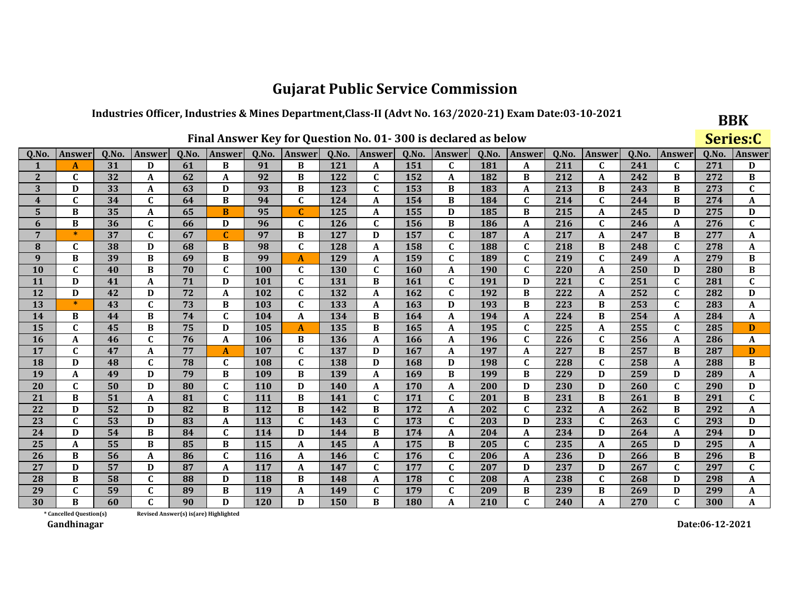## Industries Officer, Industries & Mines Department, Class-II (Advt No. 163/2020-21) Exam Date:03-10-2021

|              |                         |       |               |       |                                        |       |                  |            |               |       | Final Answer Key for Question No. 01-300 is declared as below |       |               |       |               |       |              |       | Series:C     |
|--------------|-------------------------|-------|---------------|-------|----------------------------------------|-------|------------------|------------|---------------|-------|---------------------------------------------------------------|-------|---------------|-------|---------------|-------|--------------|-------|--------------|
| Q.No         | Answer                  | Q.No. | <b>Answer</b> | Q.No. | <b>Answer</b>                          | Q.No. | Answer           | Q.No.      | <b>Answer</b> | Q.No. | Answer                                                        | Q.No. | <b>Answer</b> | Q.No. | <b>Answer</b> | Q.No. | Answer       | Q.No. | Answer       |
|              | $\mathbf{A}$            | 31    | D             | 61    | B                                      | 91    | B                | 121        | A             | 151   | $\mathbf{C}$                                                  | 181   | A             | 211   | $\mathbf{C}$  | 241   | $\mathbf{C}$ | 271   | D            |
| $\mathbf{2}$ | C                       | 32    | A             | 62    | A                                      | 92    | B                | 122        | $\mathbf C$   | 152   | A                                                             | 182   | B             | 212   | A             | 242   | B            | 272   | B            |
| 3            | D                       | 33    | A             | 63    | D                                      | 93    | B                | 123        | $\mathbf{C}$  | 153   | B                                                             | 183   | A             | 213   | B             | 243   | B            | 273   | $\mathbf{C}$ |
| 4            | $\mathbf C$             | 34    | $\mathbf C$   | 64    | B                                      | 94    | $\mathbf C$      | 124        | A             | 154   | B                                                             | 184   | $\mathbf C$   | 214   | $\mathbf{C}$  | 244   | B            | 274   | A            |
| 5            | B                       | 35    | A             | 65    | B                                      | 95    | $\mathbf C$      | 125        | A             | 155   | D                                                             | 185   | B             | 215   | A             | 245   | D            | 275   | D            |
| 6            | B                       | 36    | $\mathbf C$   | 66    | D                                      | 96    | $\mathbf C$      | 126        | $\mathbf C$   | 156   | B                                                             | 186   | A             | 216   | $\mathbf{C}$  | 246   | A            | 276   | $\mathbf C$  |
| 7            | $\ast$                  | 37    | $\mathbf{C}$  | 67    | $\mathbf C$                            | 97    | B                | 127        | D             | 157   | $\mathbf{C}$                                                  | 187   | A             | 217   | A             | 247   | B            | 277   | A            |
| 8            | $\mathbf C$             | 38    | D             | 68    | B                                      | 98    | $\mathbf C$      | 128        | A             | 158   | $\mathbf C$                                                   | 188   | $\mathbf C$   | 218   | B             | 248   | C            | 278   | A            |
| 9            | B                       | 39    | B             | 69    | B                                      | 99    | $\boldsymbol{A}$ | 129        | A             | 159   | $\mathbf{C}$                                                  | 189   | $\mathbf{C}$  | 219   | $\mathbf{C}$  | 249   | A            | 279   | B            |
| 10           | $\mathbf{C}$            | 40    | B             | 70    | $\mathbf C$                            | 100   | $\mathbf C$      | 130        | $\mathbf C$   | 160   | A                                                             | 190   | $\mathbf C$   | 220   | A             | 250   | D            | 280   | B            |
| 11           | D                       | 41    | A             | 71    | D                                      | 101   | $\mathbf C$      | 131        | B             | 161   | $\mathbf{C}$                                                  | 191   | D             | 221   | $\mathbf{C}$  | 251   | $\mathbf{C}$ | 281   | $\mathbf{C}$ |
| 12           | D                       | 42    | D             | 72    | $\mathbf{A}$                           | 102   | $\mathbf C$      | 132        | A             | 162   | $\mathbf C$                                                   | 192   | B             | 222   | A             | 252   | $\mathbf{C}$ | 282   | D            |
| 13           | $\ast$                  | 43    | $\mathbf{C}$  | 73    | B                                      | 103   | $\mathbf C$      | 133        | A             | 163   | D                                                             | 193   | B             | 223   | B             | 253   | $\mathbf{C}$ | 283   | A            |
| 14           | B                       | 44    | B             | 74    | C                                      | 104   | A                | 134        | B             | 164   | A                                                             | 194   | A             | 224   | B             | 254   | A            | 284   | A            |
| 15           | $\mathbf C$             | 45    | B             | 75    | D                                      | 105   | $\mathbf{A}$     | 135        | B             | 165   | A                                                             | 195   | $\mathbf C$   | 225   | A             | 255   | $\mathbf C$  | 285   | D            |
| 16           | A                       | 46    | $\mathbf{C}$  | 76    | A                                      | 106   | B                | 136        | A             | 166   | A                                                             | 196   | $\mathbf C$   | 226   | $\mathbf{C}$  | 256   | A            | 286   | A            |
| 17           | $\mathbf{C}$            | 47    | A             | 77    | $\mathbf{A}$                           | 107   | $\mathbf C$      | 137        | D             | 167   | A                                                             | 197   | A             | 227   | В             | 257   | В            | 287   | D            |
| 18           | D                       | 48    | $\mathbf{C}$  | 78    | $\mathbf C$                            | 108   | $\mathbf C$      | 138        | D             | 168   | D                                                             | 198   | $\mathbf{C}$  | 228   | $\mathbf{C}$  | 258   | A            | 288   | B            |
| 19           | A                       | 49    | D             | 79    | B                                      | 109   | $\bf{B}$         | 139        | A             | 169   | B                                                             | 199   | B             | 229   | D             | 259   | D            | 289   | A            |
| 20           | $\mathbf{C}$            | 50    | D             | 80    | C                                      | 110   | D                | <b>140</b> | A             | 170   | A                                                             | 200   | D             | 230   | D             | 260   | $\mathbf{C}$ | 290   | D            |
| 21           | B                       | 51    | A             | 81    | $\mathbf C$                            | 111   | B                | 141        | $\mathbf C$   | 171   | $\mathbf C$                                                   | 201   | B             | 231   | B             | 261   | B            | 291   | $\mathbf{C}$ |
| 22           | D                       | 52    | D             | 82    | B                                      | 112   | B                | 142        | B             | 172   | A                                                             | 202   | $\mathbf{C}$  | 232   | A             | 262   | B            | 292   | A            |
| 23           | $\mathbf C$             | 53    | D             | 83    | A                                      | 113   | $\mathbf C$      | 143        | $\mathbf C$   | 173   | $\mathbf C$                                                   | 203   | D             | 233   | $\mathbf{C}$  | 263   | $\mathbf C$  | 293   | D            |
| 24           | D                       | 54    | B             | 84    | C                                      | 114   | D                | 144        | B             | 174   | A                                                             | 204   | A             | 234   | D             | 264   | A            | 294   | D            |
| 25           | A                       | 55    | B             | 85    | B                                      | 115   | $\mathbf{A}$     | 145        | A             | 175   | B                                                             | 205   | $\mathbf C$   | 235   | A             | 265   | D            | 295   | A            |
| 26           | B                       | 56    | A             | 86    | C                                      | 116   | $\boldsymbol{A}$ | 146        | $\mathbf{C}$  | 176   | $\mathbf C$                                                   | 206   | A             | 236   | D             | 266   | B            | 296   | B            |
| 27           | D                       | 57    | D             | 87    | A                                      | 117   | A                | 147        | $\mathbf{C}$  | 177   | $\mathbf C$                                                   | 207   | D             | 237   | D             | 267   | $\mathbf C$  | 297   | $\mathbf{C}$ |
| 28           | B                       | 58    | $\mathbf C$   | 88    | D                                      | 118   | B                | 148        | A             | 178   | $\mathbf C$                                                   | 208   | A             | 238   | C             | 268   | D            | 298   | A            |
| 29           | $\mathbf{C}$            | 59    | $\mathbf{C}$  | 89    | B                                      | 119   | $\mathbf A$      | 149        | $\mathbf C$   | 179   | $\mathbf C$                                                   | 209   | B             | 239   | B             | 269   | D            | 299   | A            |
| 30           | B                       | 60    | C.            | 90    | D                                      | 120   | D                | 150        | B             | 180   | A                                                             | 210   | $\mathbf{C}$  | 240   | A             | 270   | $\mathbf{C}$ | 300   | A            |
|              | * Cancelled Question(s) |       |               |       | Revised Answer(s) is (are) Highlighted |       |                  |            |               |       |                                                               |       |               |       |               |       |              |       |              |

Revised Answer(s) is(are) Highlighted

Gandhinagar

Date:06-12-2021

**BBK**  $\sim$   $\sim$